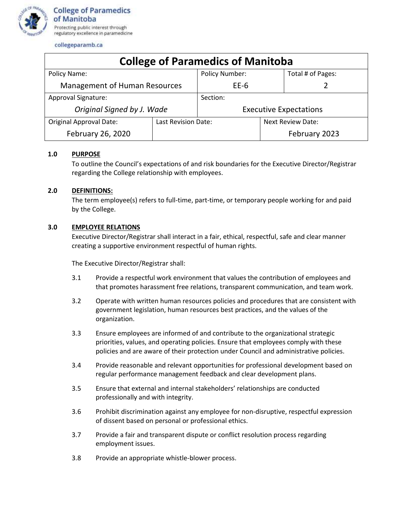

collegeparamb.ca

| <b>College of Paramedics of Manitoba</b> |                     |                               |                          |                   |
|------------------------------------------|---------------------|-------------------------------|--------------------------|-------------------|
| Policy Name:                             |                     | Policy Number:                |                          | Total # of Pages: |
| <b>Management of Human Resources</b>     |                     | EE-6                          |                          |                   |
| <b>Approval Signature:</b>               |                     | Section:                      |                          |                   |
| Original Signed by J. Wade               |                     | <b>Executive Expectations</b> |                          |                   |
| <b>Original Approval Date:</b>           | Last Revision Date: |                               | <b>Next Review Date:</b> |                   |
| February 26, 2020                        |                     |                               |                          | February 2023     |

## **1.0 PURPOSE**

To outline the Council's expectations of and risk boundaries for the Executive Director/Registrar regarding the College relationship with employees.

## **2.0 DEFINITIONS:**

The term employee(s) refers to full-time, part-time, or temporary people working for and paid by the College.

## **3.0 EMPLOYEE RELATIONS**

Executive Director/Registrar shall interact in a fair, ethical, respectful, safe and clear manner creating a supportive environment respectful of human rights.

The Executive Director/Registrar shall:

- 3.1 Provide a respectful work environment that values the contribution of employees and that promotes harassment free relations, transparent communication, and team work.
- 3.2 Operate with written human resources policies and procedures that are consistent with government legislation, human resources best practices, and the values of the organization.
- 3.3 Ensure employees are informed of and contribute to the organizational strategic priorities, values, and operating policies. Ensure that employees comply with these policies and are aware of their protection under Council and administrative policies.
- 3.4 Provide reasonable and relevant opportunities for professional development based on regular performance management feedback and clear development plans.
- 3.5 Ensure that external and internal stakeholders' relationships are conducted professionally and with integrity.
- 3.6 Prohibit discrimination against any employee for non-disruptive, respectful expression of dissent based on personal or professional ethics.
- 3.7 Provide a fair and transparent dispute or conflict resolution process regarding employment issues.
- 3.8 Provide an appropriate whistle-blower process.